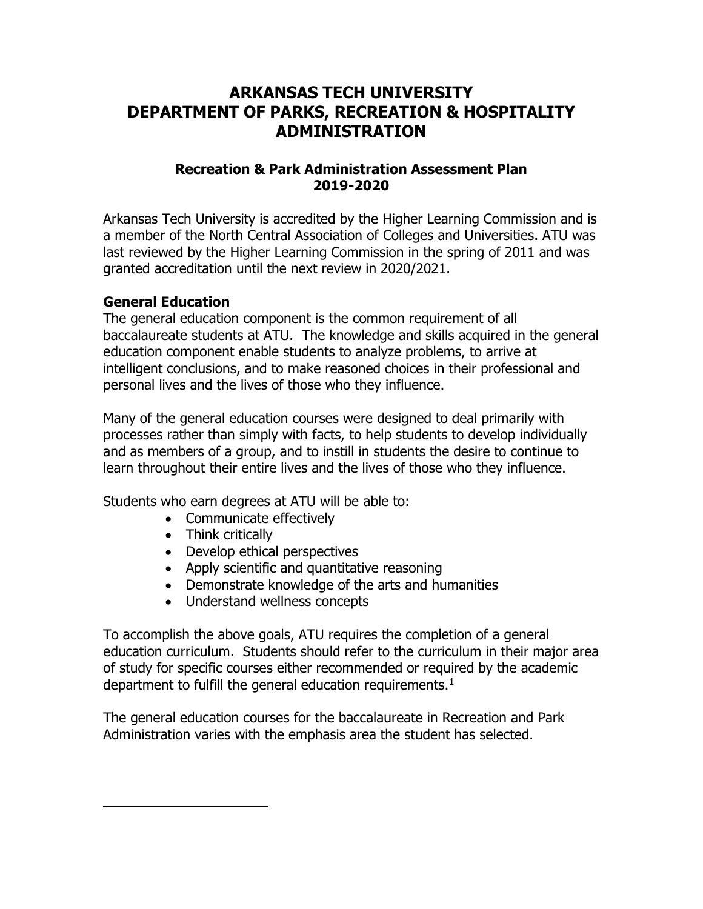## **ARKANSAS TECH UNIVERSITY DEPARTMENT OF PARKS, RECREATION & HOSPITALITY ADMINISTRATION**

### **Recreation & Park Administration Assessment Plan 2019-2020**

Arkansas Tech University is accredited by the Higher Learning Commission and is a member of the North Central Association of Colleges and Universities. ATU was last reviewed by the Higher Learning Commission in the spring of 2011 and was granted accreditation until the next review in 2020/2021.

#### **General Education**

<span id="page-0-0"></span> $\overline{a}$ 

The general education component is the common requirement of all baccalaureate students at ATU. The knowledge and skills acquired in the general education component enable students to analyze problems, to arrive at intelligent conclusions, and to make reasoned choices in their professional and personal lives and the lives of those who they influence.

Many of the general education courses were designed to deal primarily with processes rather than simply with facts, to help students to develop individually and as members of a group, and to instill in students the desire to continue to learn throughout their entire lives and the lives of those who they influence.

Students who earn degrees at ATU will be able to:

- Communicate effectively
- Think critically
- Develop ethical perspectives
- Apply scientific and quantitative reasoning
- Demonstrate knowledge of the arts and humanities
- Understand wellness concepts

To accomplish the above goals, ATU requires the completion of a general education curriculum. Students should refer to the curriculum in their major area of study for specific courses either recommended or required by the academic department to fulfill the general education requirements. $1$ 

The general education courses for the baccalaureate in Recreation and Park Administration varies with the emphasis area the student has selected.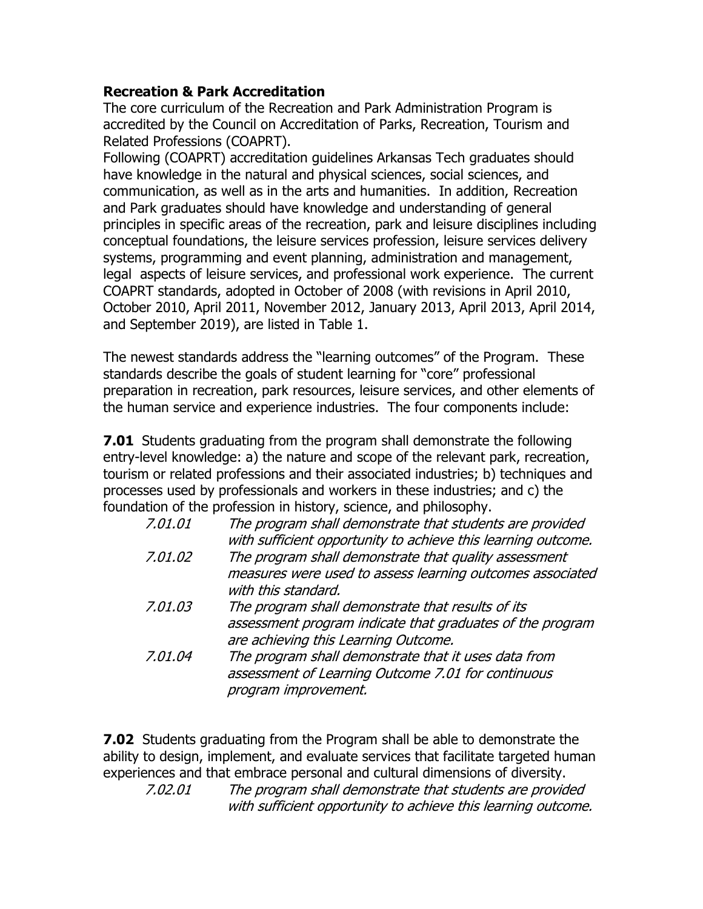#### **Recreation & Park Accreditation**

The core curriculum of the Recreation and Park Administration Program is accredited by the Council on Accreditation of Parks, Recreation, Tourism and Related Professions (COAPRT).

Following (COAPRT) accreditation guidelines Arkansas Tech graduates should have knowledge in the natural and physical sciences, social sciences, and communication, as well as in the arts and humanities. In addition, Recreation and Park graduates should have knowledge and understanding of general principles in specific areas of the recreation, park and leisure disciplines including conceptual foundations, the leisure services profession, leisure services delivery systems, programming and event planning, administration and management, legal aspects of leisure services, and professional work experience. The current COAPRT standards, adopted in October of 2008 (with revisions in April 2010, October 2010, April 2011, November 2012, January 2013, April 2013, April 2014, and September 2019), are listed in Table 1.

The newest standards address the "learning outcomes" of the Program. These standards describe the goals of student learning for "core" professional preparation in recreation, park resources, leisure services, and other elements of the human service and experience industries. The four components include:

**7.01** Students graduating from the program shall demonstrate the following entry-level knowledge: a) the nature and scope of the relevant park, recreation, tourism or related professions and their associated industries; b) techniques and processes used by professionals and workers in these industries; and c) the foundation of the profession in history, science, and philosophy.

| 7.01.01 | The program shall demonstrate that students are provided<br>with sufficient opportunity to achieve this learning outcome.                              |
|---------|--------------------------------------------------------------------------------------------------------------------------------------------------------|
| 7.01.02 | The program shall demonstrate that quality assessment<br>measures were used to assess learning outcomes associated<br>with this standard.              |
| 7.01.03 | The program shall demonstrate that results of its<br>assessment program indicate that graduates of the program<br>are achieving this Learning Outcome. |
| 7.01.04 | The program shall demonstrate that it uses data from<br>assessment of Learning Outcome 7.01 for continuous<br>program improvement.                     |

**7.02** Students graduating from the Program shall be able to demonstrate the ability to design, implement, and evaluate services that facilitate targeted human experiences and that embrace personal and cultural dimensions of diversity.

7.02.01 The program shall demonstrate that students are provided with sufficient opportunity to achieve this learning outcome.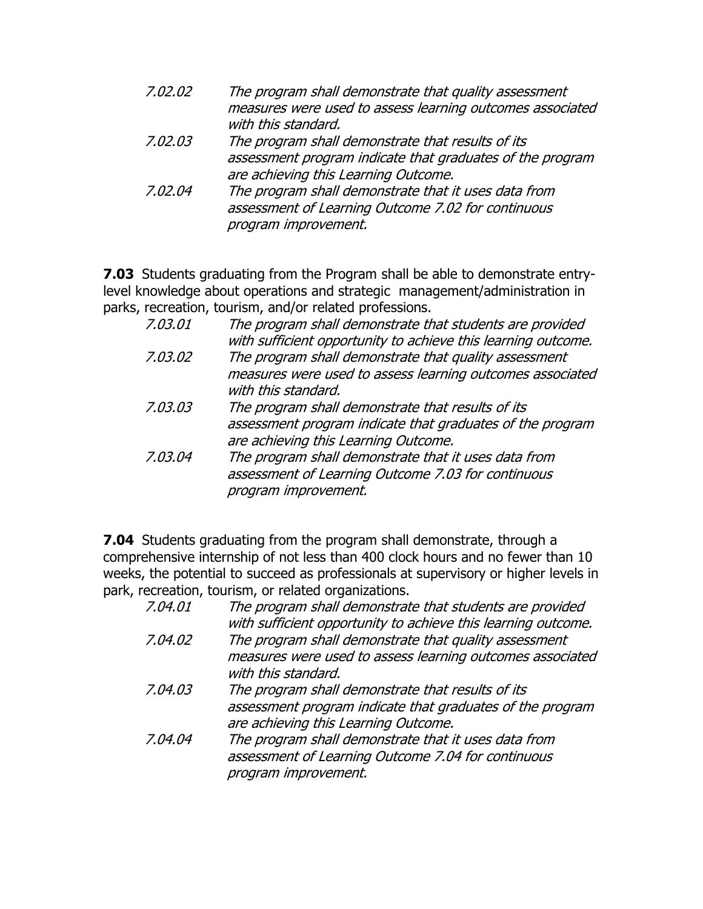| 7.02.02 | The program shall demonstrate that quality assessment<br>measures were used to assess learning outcomes associated |
|---------|--------------------------------------------------------------------------------------------------------------------|
|         | with this standard.                                                                                                |
| 7.02.03 | The program shall demonstrate that results of its                                                                  |
|         | assessment program indicate that graduates of the program                                                          |
|         | are achieving this Learning Outcome.                                                                               |
| 7.02.04 | The program shall demonstrate that it uses data from                                                               |
|         | assessment of Learning Outcome 7.02 for continuous                                                                 |
|         | program improvement.                                                                                               |

**7.03** Students graduating from the Program shall be able to demonstrate entrylevel knowledge about operations and strategic management/administration in parks, recreation, tourism, and/or related professions.

| 7.03.01 | The program shall demonstrate that students are provided<br>with sufficient opportunity to achieve this learning outcome.                              |
|---------|--------------------------------------------------------------------------------------------------------------------------------------------------------|
| 7.03.02 | The program shall demonstrate that quality assessment<br>measures were used to assess learning outcomes associated<br>with this standard.              |
| 7.03.03 | The program shall demonstrate that results of its<br>assessment program indicate that graduates of the program<br>are achieving this Learning Outcome. |
| 7.03.04 | The program shall demonstrate that it uses data from<br>assessment of Learning Outcome 7.03 for continuous<br>program improvement.                     |

**7.04** Students graduating from the program shall demonstrate, through a comprehensive internship of not less than 400 clock hours and no fewer than 10 weeks, the potential to succeed as professionals at supervisory or higher levels in park, recreation, tourism, or related organizations.

| 7.04.01 | The program shall demonstrate that students are provided<br>with sufficient opportunity to achieve this learning outcome.                              |
|---------|--------------------------------------------------------------------------------------------------------------------------------------------------------|
| 7.04.02 | The program shall demonstrate that quality assessment<br>measures were used to assess learning outcomes associated<br>with this standard.              |
| 7.04.03 | The program shall demonstrate that results of its<br>assessment program indicate that graduates of the program<br>are achieving this Learning Outcome. |
| 7.04.04 | The program shall demonstrate that it uses data from<br>assessment of Learning Outcome 7.04 for continuous<br>program improvement.                     |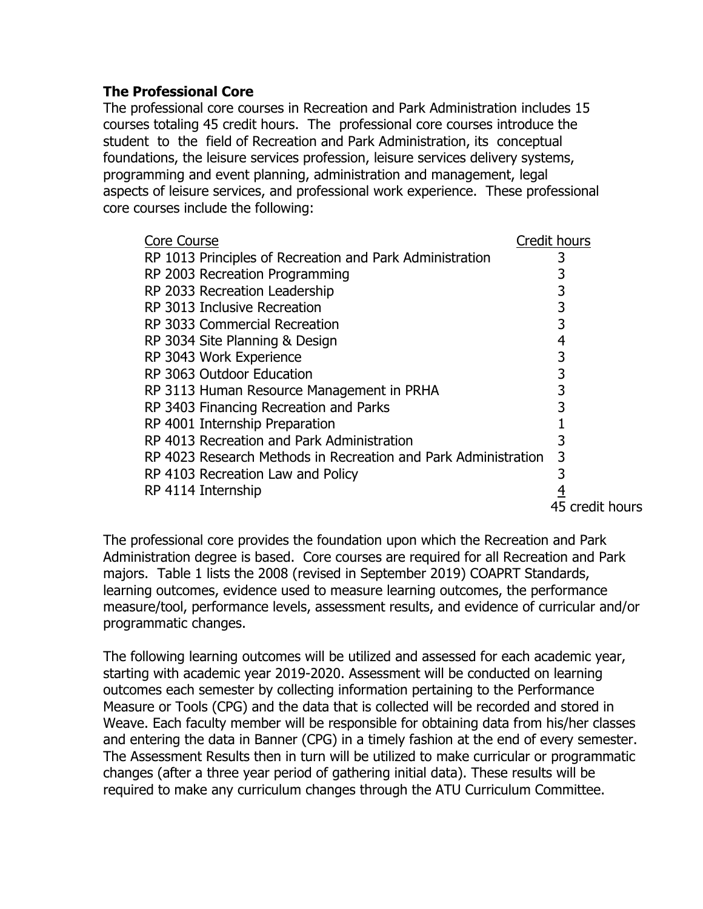### **The Professional Core**

The professional core courses in Recreation and Park Administration includes 15 courses totaling 45 credit hours. The professional core courses introduce the student to the field of Recreation and Park Administration, its conceptual foundations, the leisure services profession, leisure services delivery systems, programming and event planning, administration and management, legal aspects of leisure services, and professional work experience. These professional core courses include the following:

| <b>Core Course</b>                                             | Credit hours    |
|----------------------------------------------------------------|-----------------|
| RP 1013 Principles of Recreation and Park Administration       | 3               |
| RP 2003 Recreation Programming                                 | 3               |
| RP 2033 Recreation Leadership                                  | 3               |
| RP 3013 Inclusive Recreation                                   | 3               |
| RP 3033 Commercial Recreation                                  | 3               |
| RP 3034 Site Planning & Design                                 | 4               |
| RP 3043 Work Experience                                        | 3               |
| RP 3063 Outdoor Education                                      | 3               |
| RP 3113 Human Resource Management in PRHA                      | 3               |
| RP 3403 Financing Recreation and Parks                         | 3               |
| RP 4001 Internship Preparation                                 |                 |
| RP 4013 Recreation and Park Administration                     | 3               |
| RP 4023 Research Methods in Recreation and Park Administration | 3               |
| RP 4103 Recreation Law and Policy                              |                 |
| RP 4114 Internship                                             | <u>4</u>        |
|                                                                | 45 credit hours |

The professional core provides the foundation upon which the Recreation and Park Administration degree is based. Core courses are required for all Recreation and Park majors. Table 1 lists the 2008 (revised in September 2019) COAPRT Standards, learning outcomes, evidence used to measure learning outcomes, the performance measure/tool, performance levels, assessment results, and evidence of curricular and/or programmatic changes.

The following learning outcomes will be utilized and assessed for each academic year, starting with academic year 2019-2020. Assessment will be conducted on learning outcomes each semester by collecting information pertaining to the Performance Measure or Tools (CPG) and the data that is collected will be recorded and stored in Weave. Each faculty member will be responsible for obtaining data from his/her classes and entering the data in Banner (CPG) in a timely fashion at the end of every semester. The Assessment Results then in turn will be utilized to make curricular or programmatic changes (after a three year period of gathering initial data). These results will be required to make any curriculum changes through the ATU Curriculum Committee.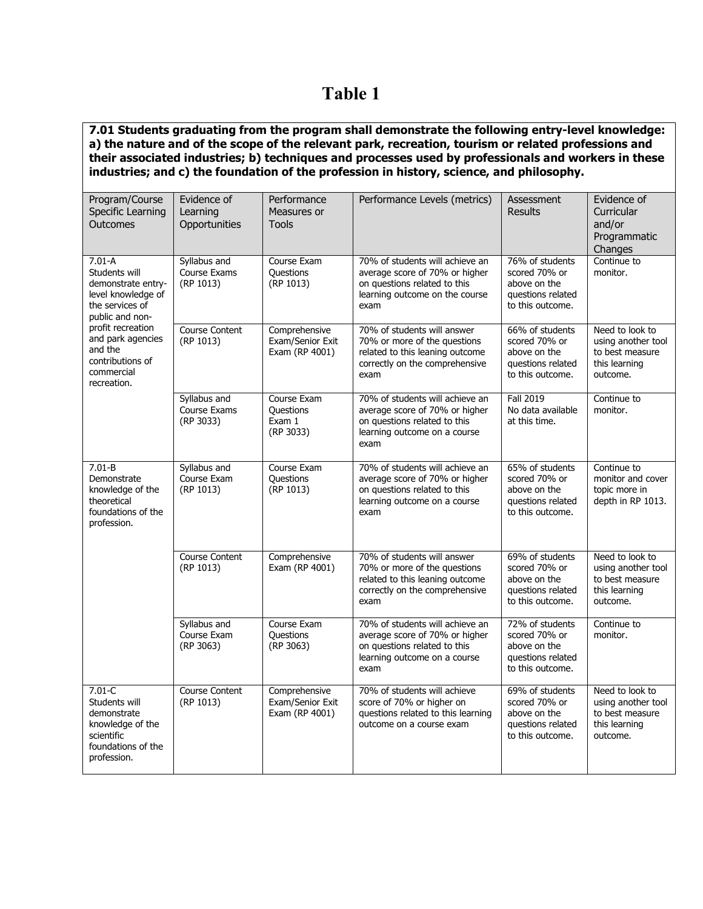# **Table 1**

**7.01 Students graduating from the program shall demonstrate the following entry-level knowledge: a) the nature and of the scope of the relevant park, recreation, tourism or related professions and their associated industries; b) techniques and processes used by professionals and workers in these industries; and c) the foundation of the profession in history, science, and philosophy.** 

| Program/Course<br>Specific Learning<br>Outcomes                                                                   | Evidence of<br>Learning<br>Opportunities  | Performance<br>Measures or<br><b>Tools</b>          | Performance Levels (metrics)                                                                                                                | Assessment<br><b>Results</b>                                                              | Evidence of<br>Curricular<br>and/or<br>Programmatic<br>Changes                        |
|-------------------------------------------------------------------------------------------------------------------|-------------------------------------------|-----------------------------------------------------|---------------------------------------------------------------------------------------------------------------------------------------------|-------------------------------------------------------------------------------------------|---------------------------------------------------------------------------------------|
| $7.01 - A$<br>Students will<br>demonstrate entry-<br>level knowledge of<br>the services of<br>public and non-     | Syllabus and<br>Course Exams<br>(RP 1013) | Course Exam<br>Questions<br>(RP 1013)               | 70% of students will achieve an<br>average score of 70% or higher<br>on questions related to this<br>learning outcome on the course<br>exam | 76% of students<br>scored 70% or<br>above on the<br>questions related<br>to this outcome. | Continue to<br>monitor.                                                               |
| profit recreation<br>and park agencies<br>and the<br>contributions of<br>commercial<br>recreation.                | <b>Course Content</b><br>(RP 1013)        | Comprehensive<br>Exam/Senior Exit<br>Exam (RP 4001) | 70% of students will answer<br>70% or more of the questions<br>related to this leaning outcome<br>correctly on the comprehensive<br>exam    | 66% of students<br>scored 70% or<br>above on the<br>questions related<br>to this outcome. | Need to look to<br>using another tool<br>to best measure<br>this learning<br>outcome. |
|                                                                                                                   | Syllabus and<br>Course Exams<br>(RP 3033) | Course Exam<br>Questions<br>Exam 1<br>(RP 3033)     | 70% of students will achieve an<br>average score of 70% or higher<br>on questions related to this<br>learning outcome on a course<br>exam   | <b>Fall 2019</b><br>No data available<br>at this time.                                    | Continue to<br>monitor.                                                               |
| $7.01-B$<br>Demonstrate<br>knowledge of the<br>theoretical<br>foundations of the<br>profession.                   | Syllabus and<br>Course Exam<br>(RP 1013)  | Course Exam<br><b>Questions</b><br>(RP 1013)        | 70% of students will achieve an<br>average score of 70% or higher<br>on questions related to this<br>learning outcome on a course<br>exam   | 65% of students<br>scored 70% or<br>above on the<br>questions related<br>to this outcome. | Continue to<br>monitor and cover<br>topic more in<br>depth in RP 1013.                |
|                                                                                                                   | <b>Course Content</b><br>(RP 1013)        | Comprehensive<br>Exam (RP 4001)                     | 70% of students will answer<br>70% or more of the questions<br>related to this leaning outcome<br>correctly on the comprehensive<br>exam    | 69% of students<br>scored 70% or<br>above on the<br>questions related<br>to this outcome. | Need to look to<br>using another tool<br>to best measure<br>this learning<br>outcome. |
|                                                                                                                   | Syllabus and<br>Course Exam<br>(RP 3063)  | Course Exam<br><b>Questions</b><br>(RP 3063)        | 70% of students will achieve an<br>average score of 70% or higher<br>on questions related to this<br>learning outcome on a course<br>exam   | 72% of students<br>scored 70% or<br>above on the<br>questions related<br>to this outcome. | Continue to<br>monitor.                                                               |
| $7.01 - C$<br>Students will<br>demonstrate<br>knowledge of the<br>scientific<br>foundations of the<br>profession. | <b>Course Content</b><br>(RP 1013)        | Comprehensive<br>Exam/Senior Exit<br>Exam (RP 4001) | 70% of students will achieve<br>score of 70% or higher on<br>questions related to this learning<br>outcome on a course exam                 | 69% of students<br>scored 70% or<br>above on the<br>questions related<br>to this outcome. | Need to look to<br>using another tool<br>to best measure<br>this learning<br>outcome. |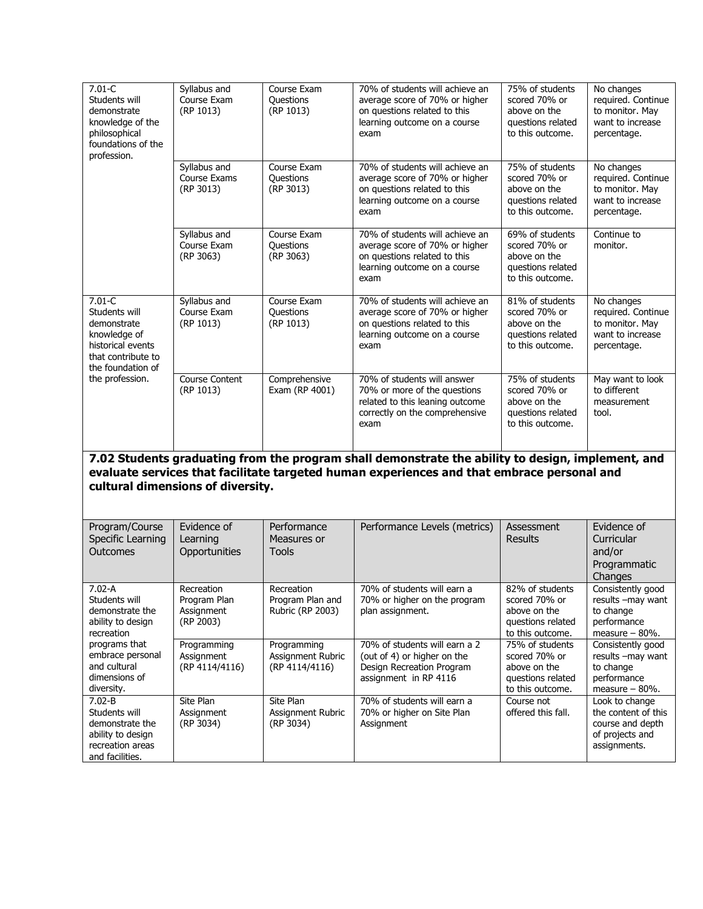| $7.01 - C$<br>Students will<br>demonstrate<br>knowledge of the<br>philosophical<br>foundations of the<br>profession.       | Syllabus and<br>Course Exam<br>(RP 1013)              | Course Exam<br><b>Questions</b><br>(RP 1013)       | 70% of students will achieve an<br>average score of 70% or higher<br>on questions related to this<br>learning outcome on a course<br>exam                                                       | 75% of students<br>scored 70% or<br>above on the<br>questions related<br>to this outcome. | No changes<br>required. Continue<br>to monitor. May<br>want to increase<br>percentage.       |
|----------------------------------------------------------------------------------------------------------------------------|-------------------------------------------------------|----------------------------------------------------|-------------------------------------------------------------------------------------------------------------------------------------------------------------------------------------------------|-------------------------------------------------------------------------------------------|----------------------------------------------------------------------------------------------|
|                                                                                                                            | Syllabus and<br>Course Exams<br>(RP 3013)             | Course Exam<br>Questions<br>(RP 3013)              | 70% of students will achieve an<br>average score of 70% or higher<br>on questions related to this<br>learning outcome on a course<br>exam                                                       | 75% of students<br>scored 70% or<br>above on the<br>questions related<br>to this outcome. | No changes<br>required. Continue<br>to monitor. May<br>want to increase<br>percentage.       |
|                                                                                                                            | Syllabus and<br>Course Exam<br>(RP 3063)              | Course Exam<br>Questions<br>(RP 3063)              | 70% of students will achieve an<br>average score of 70% or higher<br>on questions related to this<br>learning outcome on a course<br>exam                                                       | 69% of students<br>scored 70% or<br>above on the<br>questions related<br>to this outcome. | Continue to<br>monitor.                                                                      |
| $7.01 - C$<br>Students will<br>demonstrate<br>knowledge of<br>historical events<br>that contribute to<br>the foundation of | Syllabus and<br>Course Exam<br>(RP 1013)              | Course Exam<br>Questions<br>(RP 1013)              | 70% of students will achieve an<br>average score of 70% or higher<br>on questions related to this<br>learning outcome on a course<br>exam                                                       | 81% of students<br>scored 70% or<br>above on the<br>questions related<br>to this outcome. | No changes<br>required. Continue<br>to monitor. May<br>want to increase<br>percentage.       |
| the profession.                                                                                                            | Course Content<br>(RP 1013)                           | Comprehensive<br>Exam (RP 4001)                    | 70% of students will answer<br>70% or more of the questions<br>related to this leaning outcome<br>correctly on the comprehensive<br>exam                                                        | 75% of students<br>scored 70% or<br>above on the<br>questions related<br>to this outcome. | May want to look<br>to different<br>measurement<br>tool.                                     |
|                                                                                                                            | cultural dimensions of diversity.                     |                                                    | 7.02 Students graduating from the program shall demonstrate the ability to design, implement, and<br>evaluate services that facilitate targeted human experiences and that embrace personal and |                                                                                           |                                                                                              |
| Program/Course<br>Specific Learning<br>Outcomes                                                                            | Evidence of<br>Learning<br>Opportunities              | Performance<br>Measures or<br><b>Tools</b>         | Performance Levels (metrics)                                                                                                                                                                    | Assessment<br><b>Results</b>                                                              | Evidence of<br>Curricular<br>and/or<br>Programmatic<br>Changes                               |
| $7.02 - A$<br>Students will<br>demonstrate the<br>ability to design<br>recreation                                          | Recreation<br>Program Plan<br>Assignment<br>(RP 2003) | Recreation<br>Program Plan and<br>Rubric (RP 2003) | 70% of students will earn a<br>70% or higher on the program<br>plan assignment.                                                                                                                 | 82% of students<br>scored 70% or<br>above on the<br>questions related<br>to this outcome. | Consistently good<br>results -may want<br>to change<br>performance<br>measure $-80%$ .       |
| programs that<br>embrace personal<br>and cultural<br>dimensions of<br>diversity.                                           | Programming<br>Assignment<br>(RP 4114/4116)           | Programming<br>Assignment Rubric<br>(RP 4114/4116) | 70% of students will earn a 2<br>(out of 4) or higher on the<br>Design Recreation Program<br>assignment in RP 4116                                                                              | 75% of students<br>scored 70% or<br>above on the<br>questions related<br>to this outcome. | Consistently good<br>results -may want<br>to change<br>performance<br>measure $-80%$ .       |
| $7.02 - B$<br>Students will<br>demonstrate the<br>ability to design<br>recreation areas<br>and facilities.                 | Site Plan<br>Assignment<br>(RP 3034)                  | Site Plan<br>Assignment Rubric<br>(RP 3034)        | 70% of students will earn a<br>70% or higher on Site Plan<br>Assignment                                                                                                                         | Course not<br>offered this fall.                                                          | Look to change<br>the content of this<br>course and depth<br>of projects and<br>assignments. |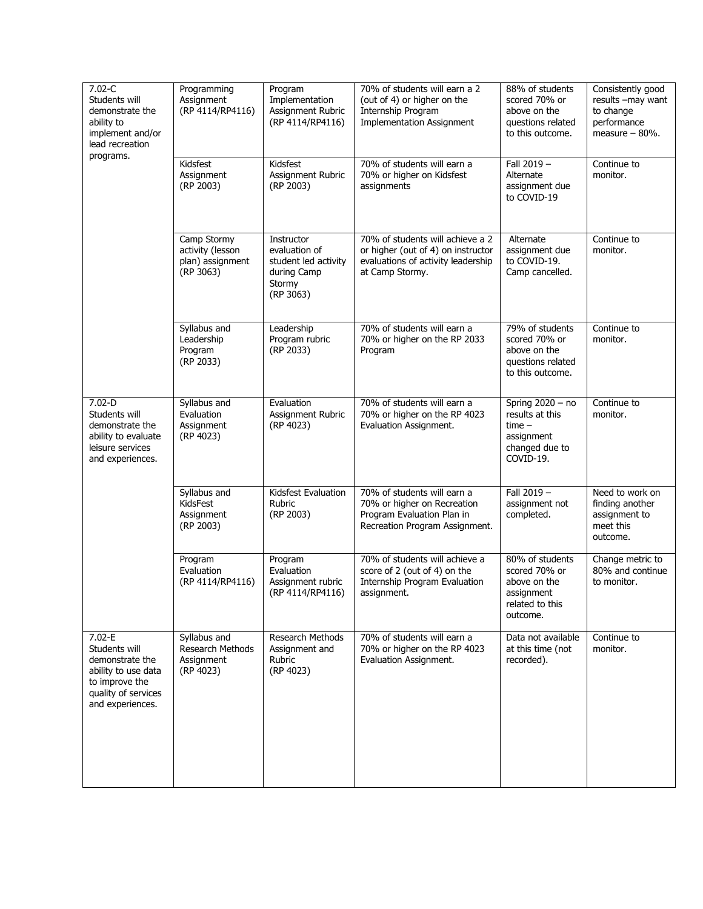| $7.02 - C$<br>Students will<br>demonstrate the<br>ability to<br>implement and/or<br>lead recreation<br>programs.                   | Programming<br>Assignment<br>(RP 4114/RP4116)                      | Program<br>Implementation<br>Assignment Rubric<br>(RP 4114/RP4116)                        | 70% of students will earn a 2<br>(out of 4) or higher on the<br>Internship Program<br><b>Implementation Assignment</b>          | 88% of students<br>scored 70% or<br>above on the<br>questions related<br>to this outcome.      | Consistently good<br>results -may want<br>to change<br>performance<br>measure $-80%$ . |
|------------------------------------------------------------------------------------------------------------------------------------|--------------------------------------------------------------------|-------------------------------------------------------------------------------------------|---------------------------------------------------------------------------------------------------------------------------------|------------------------------------------------------------------------------------------------|----------------------------------------------------------------------------------------|
|                                                                                                                                    | Kidsfest<br>Assignment<br>(RP 2003)                                | Kidsfest<br>Assignment Rubric<br>(RP 2003)                                                | 70% of students will earn a<br>70% or higher on Kidsfest<br>assignments                                                         | Fall 2019 -<br>Alternate<br>assignment due<br>to COVID-19                                      | Continue to<br>monitor.                                                                |
|                                                                                                                                    | Camp Stormy<br>activity (lesson<br>plan) assignment<br>(RP 3063)   | Instructor<br>evaluation of<br>student led activity<br>during Camp<br>Stormy<br>(RP 3063) | 70% of students will achieve a 2<br>or higher (out of 4) on instructor<br>evaluations of activity leadership<br>at Camp Stormy. | Alternate<br>assignment due<br>to COVID-19.<br>Camp cancelled.                                 | Continue to<br>monitor.                                                                |
|                                                                                                                                    | Syllabus and<br>Leadership<br>Program<br>(RP 2033)                 | Leadership<br>Program rubric<br>(RP 2033)                                                 | 70% of students will earn a<br>70% or higher on the RP 2033<br>Program                                                          | 79% of students<br>scored 70% or<br>above on the<br>questions related<br>to this outcome.      | Continue to<br>monitor.                                                                |
| $7.02 - D$<br>Students will<br>demonstrate the<br>ability to evaluate<br>leisure services<br>and experiences.                      | Syllabus and<br>Evaluation<br>Assignment<br>(RP 4023)              | Evaluation<br>Assignment Rubric<br>(RP 4023)                                              | 70% of students will earn a<br>70% or higher on the RP 4023<br>Evaluation Assignment.                                           | Spring $2020 - no$<br>results at this<br>$time -$<br>assignment<br>changed due to<br>COVID-19. | Continue to<br>monitor.                                                                |
|                                                                                                                                    | Syllabus and<br>KidsFest<br>Assignment<br>(RP 2003)                | Kidsfest Evaluation<br>Rubric<br>(RP 2003)                                                | 70% of students will earn a<br>70% or higher on Recreation<br>Program Evaluation Plan in<br>Recreation Program Assignment.      | Fall 2019 -<br>assignment not<br>completed.                                                    | Need to work on<br>finding another<br>assignment to<br>meet this<br>outcome.           |
|                                                                                                                                    | Program<br>Evaluation<br>(RP 4114/RP4116)                          | Program<br>Evaluation<br>Assignment rubric<br>(RP 4114/RP4116)                            | 70% of students will achieve a<br>score of 2 (out of 4) on the<br>Internship Program Evaluation<br>assignment.                  | 80% of students<br>scored 70% or<br>above on the<br>assignment<br>related to this<br>outcome.  | Change metric to<br>80% and continue<br>to monitor.                                    |
| $7.02 - E$<br>Students will<br>demonstrate the<br>ability to use data<br>to improve the<br>quality of services<br>and experiences. | Syllabus and<br><b>Research Methods</b><br>Assignment<br>(RP 4023) | Research Methods<br>Assignment and<br>Rubric<br>(RP 4023)                                 | 70% of students will earn a<br>70% or higher on the RP 4023<br>Evaluation Assignment.                                           | Data not available<br>at this time (not<br>recorded).                                          | Continue to<br>monitor.                                                                |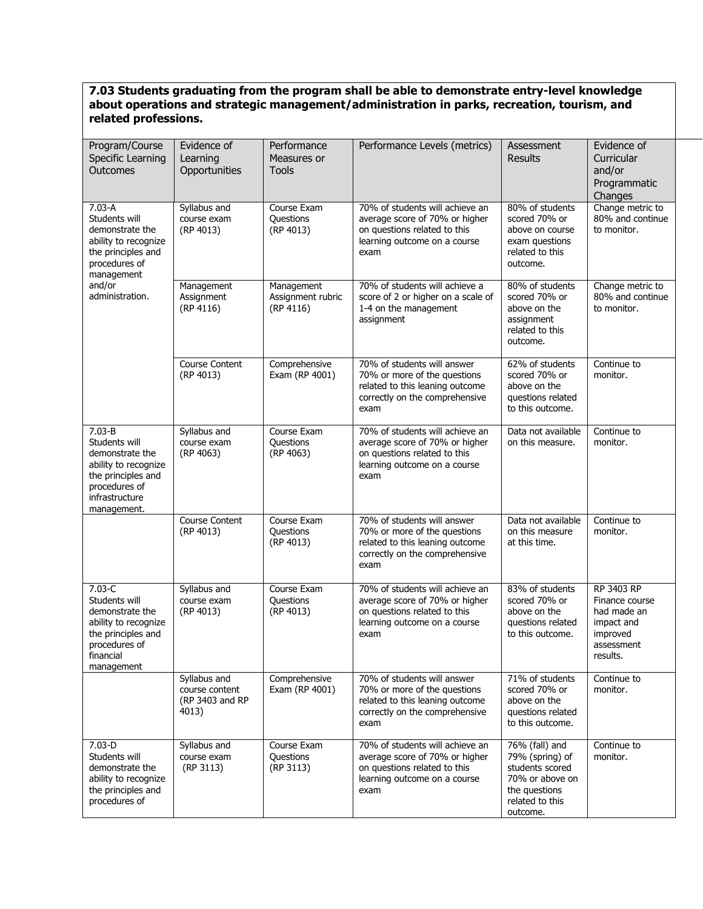#### **7.03 Students graduating from the program shall be able to demonstrate entry-level knowledge about operations and strategic management/administration in parks, recreation, tourism, and related professions.**

| Program/Course<br>Specific Learning<br>Outcomes                                                                                                | Evidence of<br>Learning<br>Opportunities                   | Performance<br>Measures or<br><b>Tools</b>   | Performance Levels (metrics)                                                                                                              | Assessment<br><b>Results</b>                                                                                            | Evidence of<br>Curricular<br>and/or<br>Programmatic<br>Changes                                  |
|------------------------------------------------------------------------------------------------------------------------------------------------|------------------------------------------------------------|----------------------------------------------|-------------------------------------------------------------------------------------------------------------------------------------------|-------------------------------------------------------------------------------------------------------------------------|-------------------------------------------------------------------------------------------------|
| $7.03 - A$<br>Students will<br>demonstrate the<br>ability to recognize<br>the principles and<br>procedures of<br>management                    | Syllabus and<br>course exam<br>(RP 4013)                   | Course Exam<br>Questions<br>(RP 4013)        | 70% of students will achieve an<br>average score of 70% or higher<br>on questions related to this<br>learning outcome on a course<br>exam | 80% of students<br>scored 70% or<br>above on course<br>exam questions<br>related to this<br>outcome.                    | Change metric to<br>80% and continue<br>to monitor.                                             |
| and/or<br>administration.                                                                                                                      | Management<br>Assignment<br>(RP 4116)                      | Management<br>Assignment rubric<br>(RP 4116) | 70% of students will achieve a<br>score of 2 or higher on a scale of<br>1-4 on the management<br>assignment                               | 80% of students<br>scored 70% or<br>above on the<br>assignment<br>related to this<br>outcome.                           | Change metric to<br>80% and continue<br>to monitor.                                             |
|                                                                                                                                                | Course Content<br>(RP 4013)                                | Comprehensive<br>Exam (RP 4001)              | 70% of students will answer<br>70% or more of the questions<br>related to this leaning outcome<br>correctly on the comprehensive<br>exam  | 62% of students<br>scored 70% or<br>above on the<br>questions related<br>to this outcome.                               | Continue to<br>monitor.                                                                         |
| $7.03 - B$<br>Students will<br>demonstrate the<br>ability to recognize<br>the principles and<br>procedures of<br>infrastructure<br>management. | Syllabus and<br>course exam<br>(RP 4063)                   | Course Exam<br>Questions<br>(RP 4063)        | 70% of students will achieve an<br>average score of 70% or higher<br>on questions related to this<br>learning outcome on a course<br>exam | Data not available<br>on this measure.                                                                                  | Continue to<br>monitor.                                                                         |
|                                                                                                                                                | Course Content<br>(RP 4013)                                | Course Exam<br>Questions<br>(RP 4013)        | 70% of students will answer<br>70% or more of the questions<br>related to this leaning outcome<br>correctly on the comprehensive<br>exam  | Data not available<br>on this measure<br>at this time.                                                                  | Continue to<br>monitor.                                                                         |
| $7.03-C$<br>Students will<br>demonstrate the<br>ability to recognize<br>the principles and<br>procedures of<br>financial<br>management         | Syllabus and<br>course exam<br>(RP 4013)                   | Course Exam<br><b>Questions</b><br>(RP 4013) | 70% of students will achieve an<br>average score of 70% or higher<br>on questions related to this<br>learning outcome on a course<br>exam | 83% of students<br>scored 70% or<br>above on the<br>questions related<br>to this outcome.                               | RP 3403 RP<br>Finance course<br>had made an<br>impact and<br>improved<br>assessment<br>results. |
|                                                                                                                                                | Syllabus and<br>course content<br>(RP 3403 and RP<br>4013) | Comprehensive<br>Exam (RP 4001)              | 70% of students will answer<br>70% or more of the questions<br>related to this leaning outcome<br>correctly on the comprehensive<br>exam  | 71% of students<br>scored 70% or<br>above on the<br>questions related<br>to this outcome.                               | Continue to<br>monitor.                                                                         |
| $7.03-D$<br>Students will<br>demonstrate the<br>ability to recognize<br>the principles and<br>procedures of                                    | Syllabus and<br>course exam<br>(RP 3113)                   | Course Exam<br>Questions<br>(RP 3113)        | 70% of students will achieve an<br>average score of 70% or higher<br>on questions related to this<br>learning outcome on a course<br>exam | 76% (fall) and<br>79% (spring) of<br>students scored<br>70% or above on<br>the questions<br>related to this<br>outcome. | Continue to<br>monitor.                                                                         |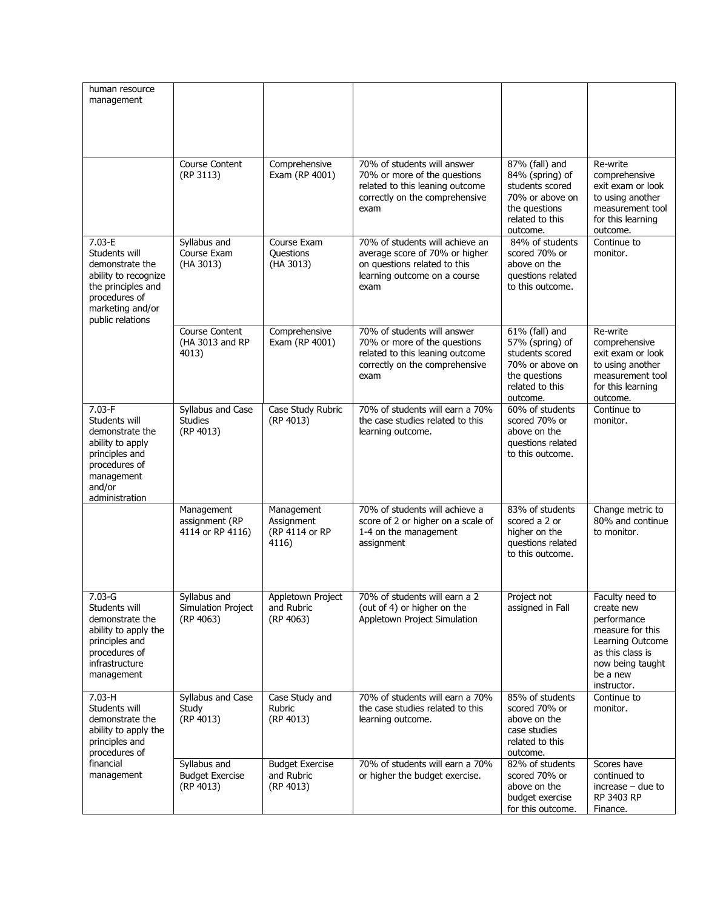| human resource<br>management                                                                                                                          |                                                        |                                                     |                                                                                                                                           |                                                                                                                         |                                                                                                                                                         |
|-------------------------------------------------------------------------------------------------------------------------------------------------------|--------------------------------------------------------|-----------------------------------------------------|-------------------------------------------------------------------------------------------------------------------------------------------|-------------------------------------------------------------------------------------------------------------------------|---------------------------------------------------------------------------------------------------------------------------------------------------------|
|                                                                                                                                                       | <b>Course Content</b><br>(RP 3113)                     | Comprehensive<br>Exam (RP 4001)                     | 70% of students will answer<br>70% or more of the questions<br>related to this leaning outcome<br>correctly on the comprehensive<br>exam  | 87% (fall) and<br>84% (spring) of<br>students scored<br>70% or above on<br>the questions<br>related to this<br>outcome. | Re-write<br>comprehensive<br>exit exam or look<br>to using another<br>measurement tool<br>for this learning<br>outcome.                                 |
| $7.03 - E$<br>Students will<br>demonstrate the<br>ability to recognize<br>the principles and<br>procedures of<br>marketing and/or<br>public relations | Syllabus and<br>Course Exam<br>(HA 3013)               | Course Exam<br>Questions<br>(HA 3013)               | 70% of students will achieve an<br>average score of 70% or higher<br>on questions related to this<br>learning outcome on a course<br>exam | 84% of students<br>scored 70% or<br>above on the<br>questions related<br>to this outcome.                               | Continue to<br>monitor.                                                                                                                                 |
|                                                                                                                                                       | <b>Course Content</b><br>(HA 3013 and RP<br>4013)      | Comprehensive<br>Exam (RP 4001)                     | 70% of students will answer<br>70% or more of the questions<br>related to this leaning outcome<br>correctly on the comprehensive<br>exam  | 61% (fall) and<br>57% (spring) of<br>students scored<br>70% or above on<br>the questions<br>related to this<br>outcome. | Re-write<br>comprehensive<br>exit exam or look<br>to using another<br>measurement tool<br>for this learning<br>outcome.                                 |
| $7.03-F$<br>Students will<br>demonstrate the<br>ability to apply<br>principles and<br>procedures of<br>management<br>and/or<br>administration         | Syllabus and Case<br><b>Studies</b><br>(RP 4013)       | Case Study Rubric<br>(RP 4013)                      | 70% of students will earn a 70%<br>the case studies related to this<br>learning outcome.                                                  | 60% of students<br>scored 70% or<br>above on the<br>questions related<br>to this outcome.                               | Continue to<br>monitor.                                                                                                                                 |
|                                                                                                                                                       | Management<br>assignment (RP<br>4114 or RP 4116)       | Management<br>Assignment<br>(RP 4114 or RP<br>4116) | 70% of students will achieve a<br>score of 2 or higher on a scale of<br>1-4 on the management<br>assignment                               | 83% of students<br>scored a 2 or<br>higher on the<br>questions related<br>to this outcome.                              | Change metric to<br>80% and continue<br>to monitor.                                                                                                     |
| $7.03 - G$<br>Students will<br>demonstrate the<br>ability to apply the<br>principles and<br>procedures of<br>infrastructure<br>management             | Syllabus and<br><b>Simulation Project</b><br>(RP 4063) | Appletown Project<br>and Rubric<br>(RP 4063)        | 70% of students will earn a 2<br>(out of 4) or higher on the<br>Appletown Project Simulation                                              | Project not<br>assigned in Fall                                                                                         | Faculty need to<br>create new<br>performance<br>measure for this<br>Learning Outcome<br>as this class is<br>now being taught<br>be a new<br>instructor. |
| $7.03-H$<br>Students will<br>demonstrate the<br>ability to apply the<br>principles and<br>procedures of                                               | Syllabus and Case<br>Study<br>(RP 4013)                | Case Study and<br>Rubric<br>(RP 4013)               | 70% of students will earn a 70%<br>the case studies related to this<br>learning outcome.                                                  | 85% of students<br>scored 70% or<br>above on the<br>case studies<br>related to this<br>outcome.                         | Continue to<br>monitor.                                                                                                                                 |
| financial<br>management                                                                                                                               | Syllabus and<br><b>Budget Exercise</b><br>(RP 4013)    | <b>Budget Exercise</b><br>and Rubric<br>(RP 4013)   | 70% of students will earn a 70%<br>or higher the budget exercise.                                                                         | 82% of students<br>scored 70% or<br>above on the<br>budget exercise<br>for this outcome.                                | Scores have<br>continued to<br>$increase - due to$<br>RP 3403 RP<br>Finance.                                                                            |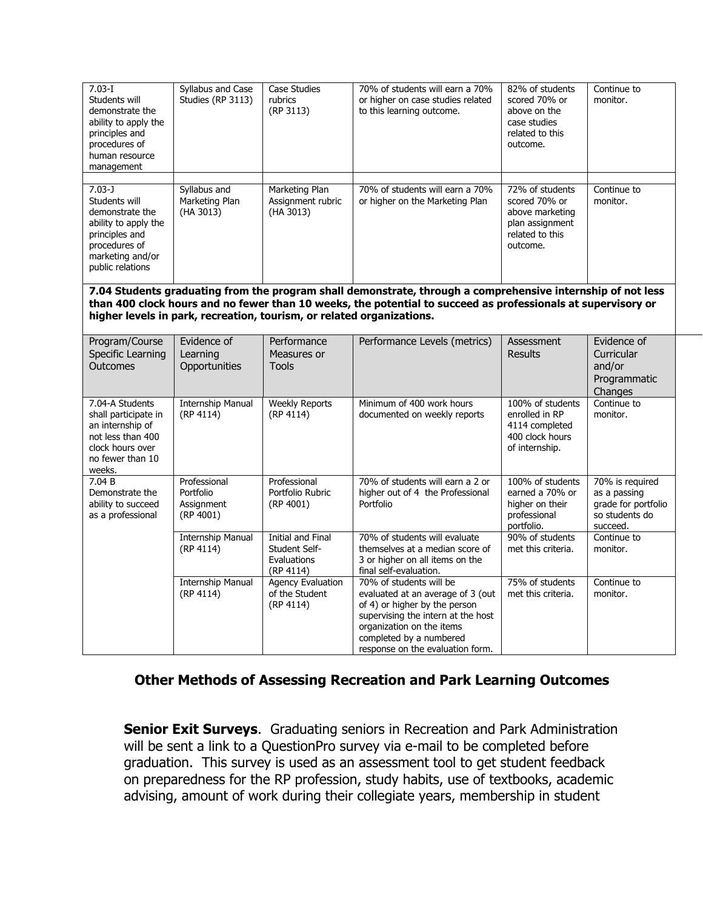| $7.03 - I$<br>Students will<br>demonstrate the<br>ability to apply the<br>principles and<br>procedures of<br>human resource<br>management         | Syllabus and Case<br>Studies (RP 3113)               | Case Studies<br>rubrics<br>(RP 3113)                                  | 70% of students will earn a 70%<br>or higher on case studies related<br>to this learning outcome.                                                                                                                               | 82% of students<br>scored 70% or<br>above on the<br>case studies<br>related to this<br>outcome.       | Continue to<br>monitor.                                                              |
|---------------------------------------------------------------------------------------------------------------------------------------------------|------------------------------------------------------|-----------------------------------------------------------------------|---------------------------------------------------------------------------------------------------------------------------------------------------------------------------------------------------------------------------------|-------------------------------------------------------------------------------------------------------|--------------------------------------------------------------------------------------|
| $7.03 - J$<br>Students will<br>demonstrate the<br>ability to apply the<br>principles and<br>procedures of<br>marketing and/or<br>public relations | Syllabus and<br>Marketing Plan<br>(HA 3013)          | Marketing Plan<br>Assignment rubric<br>(HA 3013)                      | 70% of students will earn a 70%<br>or higher on the Marketing Plan                                                                                                                                                              | 72% of students<br>scored 70% or<br>above marketing<br>plan assignment<br>related to this<br>outcome. | Continue to<br>monitor.                                                              |
|                                                                                                                                                   |                                                      | higher levels in park, recreation, tourism, or related organizations. | 7.04 Students graduating from the program shall demonstrate, through a comprehensive internship of not less<br>than 400 clock hours and no fewer than 10 weeks, the potential to succeed as professionals at supervisory or     |                                                                                                       |                                                                                      |
| Program/Course<br>Specific Learning<br><b>Outcomes</b>                                                                                            | Evidence of<br>Learning<br>Opportunities             | Performance<br>Measures or<br><b>Tools</b>                            | Performance Levels (metrics)                                                                                                                                                                                                    | Assessment<br><b>Results</b>                                                                          | Evidence of<br><b>Curricular</b><br>and/or<br>Programmatic<br>Changes                |
| 7.04-A Students<br>shall participate in<br>an internship of<br>not less than 400<br>clock hours over<br>no fewer than 10<br>weeks.                | <b>Internship Manual</b><br>(RP 4114)                | <b>Weekly Reports</b><br>(RP 4114)                                    | Minimum of 400 work hours<br>documented on weekly reports                                                                                                                                                                       | 100% of students<br>enrolled in RP<br>4114 completed<br>400 clock hours<br>of internship.             | Continue to<br>monitor.                                                              |
| 7.04 B<br>Demonstrate the<br>ability to succeed<br>as a professional                                                                              | Professional<br>Portfolio<br>Assignment<br>(RP 4001) | Professional<br>Portfolio Rubric<br>(RP 4001)                         | 70% of students will earn a 2 or<br>higher out of 4 the Professional<br>Portfolio                                                                                                                                               | 100% of students<br>earned a 70% or<br>higher on their<br>professional<br>portfolio.                  | 70% is required<br>as a passing<br>grade for portfolio<br>so students do<br>succeed. |
|                                                                                                                                                   | <b>Internship Manual</b><br>(RP 4114)                | Initial and Final<br>Student Self-<br>Evaluations<br>(RP 4114)        | 70% of students will evaluate<br>themselves at a median score of<br>3 or higher on all items on the<br>final self-evaluation.                                                                                                   | 90% of students<br>met this criteria.                                                                 | Continue to<br>monitor.                                                              |
|                                                                                                                                                   | <b>Internship Manual</b><br>(RP 4114)                | <b>Agency Evaluation</b><br>of the Student<br>(RP 4114)               | 70% of students will be<br>evaluated at an average of 3 (out<br>of 4) or higher by the person<br>supervising the intern at the host<br>organization on the items<br>completed by a numbered<br>response on the evaluation form. | 75% of students<br>met this criteria.                                                                 | Continue to<br>monitor.                                                              |

### **Other Methods of Assessing Recreation and Park Learning Outcomes**

**Senior Exit Surveys.** Graduating seniors in Recreation and Park Administration will be sent a link to a QuestionPro survey via e-mail to be completed before graduation. This survey is used as an assessment tool to get student feedback on preparedness for the RP profession, study habits, use of textbooks, academic advising, amount of work during their collegiate years, membership in student